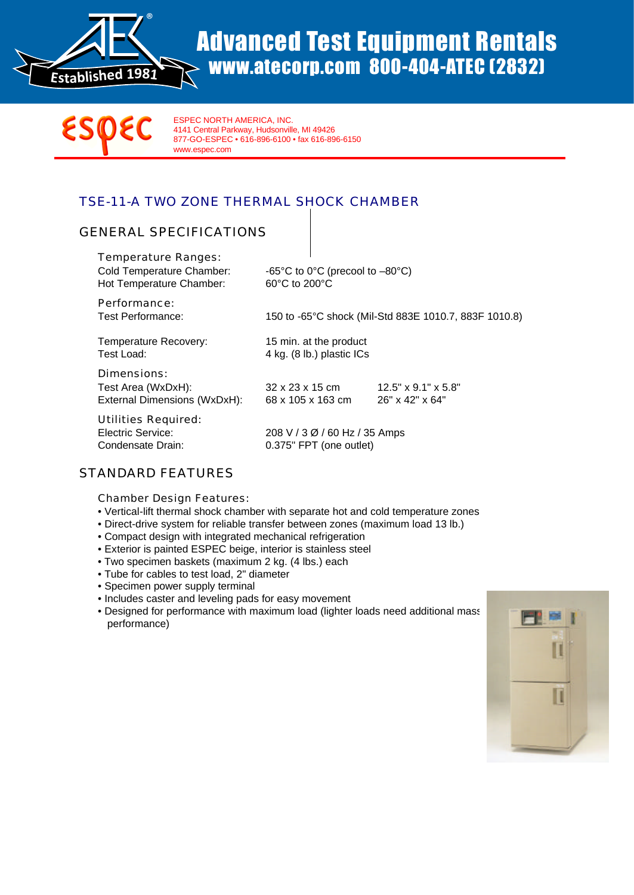

# Advanced Test Equipment Rentals www.atecorp.com 800-404-ATEC (2832)



ESPEC NORTH AMERICA, INC. 4141 Central Parkway, Hudsonville, MI 49426 877-GO-ESPEC • 616-896-6100 • fax 616-896-6150 www.espec.com

## TSE-11-A TWO ZONE THERMAL SHOCK CHAMBER

### GENERAL SPECIFICATIONS

| Temperature Ranges:<br>Cold Temperature Chamber:<br>Hot Temperature Chamber: | -65°C to 0°C (precool to $-80$ °C)<br>60°C to 200°C      |                                                                |
|------------------------------------------------------------------------------|----------------------------------------------------------|----------------------------------------------------------------|
| Performance:<br>Test Performance:                                            | 150 to -65°C shock (Mil-Std 883E 1010.7, 883F 1010.8)    |                                                                |
| Temperature Recovery:<br>Test Load:                                          | 15 min. at the product<br>4 kg. (8 lb.) plastic ICs      |                                                                |
| Dimensions:<br>Test Area (WxDxH):<br>External Dimensions (WxDxH):            | 32 x 23 x 15 cm<br>68 x 105 x 163 cm                     | $12.5" \times 9.1" \times 5.8"$<br>$26" \times 42" \times 64"$ |
| Utilities Required:<br>Electric Service:<br>Condensate Drain:                | 208 V / 3 Ø / 60 Hz / 35 Amps<br>0.375" FPT (one outlet) |                                                                |

### STANDARD FEATURES

Chamber Design Features:

- Vertical-lift thermal shock chamber with separate hot and cold temperature zones
- Direct-drive system for reliable transfer between zones (maximum load 13 lb.)
- Compact design with integrated mechanical refrigeration
- Exterior is painted ESPEC beige, interior is stainless steel
- Two specimen baskets (maximum 2 kg. (4 lbs.) each
- Tube for cables to test load, 2" diameter
- Specimen power supply terminal
- Includes caster and leveling pads for easy movement
- Designed for performance with maximum load (lighter loads need additional mass performance)